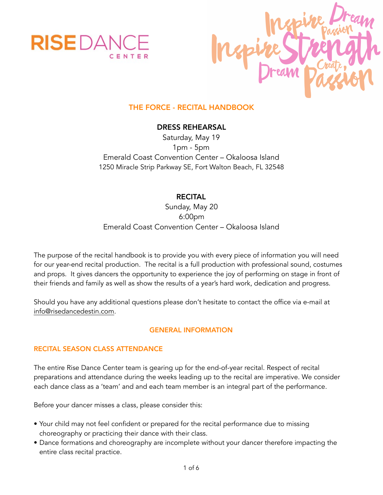



## THE FORCE - RECITAL HANDBOOK

## DRESS REHEARSAL

Saturday, May 19 1pm - 5pm Emerald Coast Convention Center – Okaloosa Island 1250 Miracle Strip Parkway SE, Fort Walton Beach, FL 32548

## RECITAL

Sunday, May 20 6:00pm Emerald Coast Convention Center – Okaloosa Island

The purpose of the recital handbook is to provide you with every piece of information you will need for our year-end recital production. The recital is a full production with professional sound, costumes and props. It gives dancers the opportunity to experience the joy of performing on stage in front of their friends and family as well as show the results of a year's hard work, dedication and progress.

Should you have any additional questions please don't hesitate to contact the office via e-mail at [info@risedancedestin.com.](mailto:info@risedancedestin.com)

#### GENERAL INFORMATION

#### RECITAL SEASON CLASS ATTENDANCE

The entire Rise Dance Center team is gearing up for the end-of-year recital. Respect of recital preparations and attendance during the weeks leading up to the recital are imperative. We consider each dance class as a 'team' and and each team member is an integral part of the performance.

Before your dancer misses a class, please consider this:

- Your child may not feel confident or prepared for the recital performance due to missing choreography or practicing their dance with their class.
- Dance formations and choreography are incomplete without your dancer therefore impacting the entire class recital practice.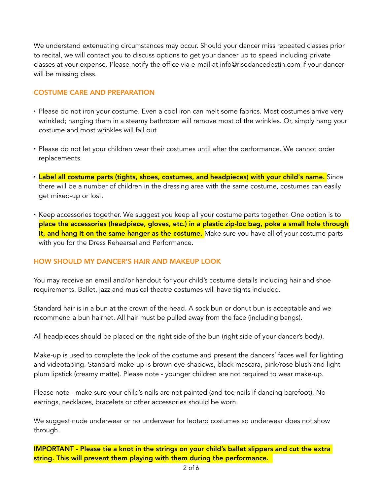We understand extenuating circumstances may occur. Should your dancer miss repeated classes prior to recital, we will contact you to discuss options to get your dancer up to speed including private classes at your expense. Please notify the office via e-mail at info@risedancedestin.com if your dancer will be missing class.

## COSTUME CARE AND PREPARATION

- Please do not iron your costume. Even a cool iron can melt some fabrics. Most costumes arrive very wrinkled; hanging them in a steamy bathroom will remove most of the wrinkles. Or, simply hang your costume and most wrinkles will fall out.
- Please do not let your children wear their costumes until after the performance. We cannot order replacements.
- Label all costume parts (tights, shoes, costumes, and headpieces) with your child's name. Since there will be a number of children in the dressing area with the same costume, costumes can easily get mixed-up or lost.
- Keep accessories together. We suggest you keep all your costume parts together. One option is to place the accessories (headpiece, gloves, etc.) in a plastic zip-loc bag, poke a small hole through it, and hang it on the same hanger as the costume. Make sure you have all of your costume parts with you for the Dress Rehearsal and Performance.

#### HOW SHOULD MY DANCER'S HAIR AND MAKEUP LOOK

You may receive an email and/or handout for your child's costume details including hair and shoe requirements. Ballet, jazz and musical theatre costumes will have tights included.

Standard hair is in a bun at the crown of the head. A sock bun or donut bun is acceptable and we recommend a bun hairnet. All hair must be pulled away from the face (including bangs).

All headpieces should be placed on the right side of the bun (right side of your dancer's body).

Make-up is used to complete the look of the costume and present the dancers' faces well for lighting and videotaping. Standard make-up is brown eye-shadows, black mascara, pink/rose blush and light plum lipstick (creamy matte). Please note - younger children are not required to wear make-up.

Please note - make sure your child's nails are not painted (and toe nails if dancing barefoot). No earrings, necklaces, bracelets or other accessories should be worn.

We suggest nude underwear or no underwear for leotard costumes so underwear does not show through.

IMPORTANT - Please tie a knot in the strings on your child's ballet slippers and cut the extra string. This will prevent them playing with them during the performance.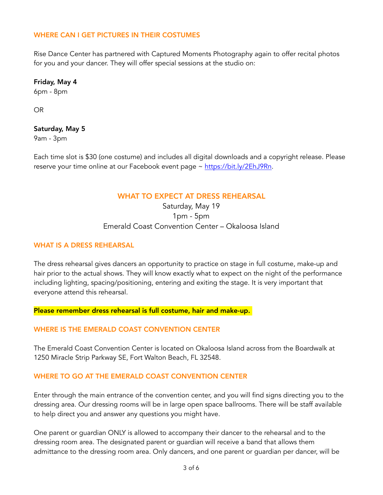#### WHERE CAN I GET PICTURES IN THEIR COSTUMES

Rise Dance Center has partnered with Captured Moments Photography again to offer recital photos for you and your dancer. They will offer special sessions at the studio on:

#### Friday, May 4

6pm - 8pm

OR

#### Saturday, May 5

9am - 3pm

Each time slot is \$30 (one costume) and includes all digital downloads and a copyright release. Please reserve your time online at our Facebook event page ~<https://bit.ly/2EhJ9Rn>.

## WHAT TO EXPECT AT DRESS REHEARSAL

Saturday, May 19 1pm - 5pm Emerald Coast Convention Center – Okaloosa Island

#### WHAT IS A DRESS REHEARSAL

The dress rehearsal gives dancers an opportunity to practice on stage in full costume, make-up and hair prior to the actual shows. They will know exactly what to expect on the night of the performance including lighting, spacing/positioning, entering and exiting the stage. It is very important that everyone attend this rehearsal.

Please remember dress rehearsal is full costume, hair and make-up.

## WHERE IS THE EMERALD COAST CONVENTION CENTER

The Emerald Coast Convention Center is located on Okaloosa Island across from the Boardwalk at 1250 Miracle Strip Parkway SE, Fort Walton Beach, FL 32548.

## WHERE TO GO AT THE EMERALD COAST CONVENTION CENTER

Enter through the main entrance of the convention center, and you will find signs directing you to the dressing area. Our dressing rooms will be in large open space ballrooms. There will be staff available to help direct you and answer any questions you might have.

One parent or guardian ONLY is allowed to accompany their dancer to the rehearsal and to the dressing room area. The designated parent or guardian will receive a band that allows them admittance to the dressing room area. Only dancers, and one parent or guardian per dancer, will be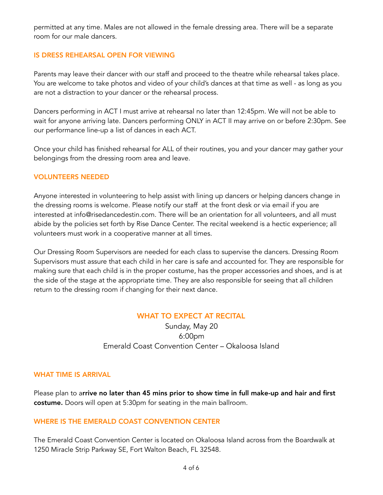permitted at any time. Males are not allowed in the female dressing area. There will be a separate room for our male dancers.

#### IS DRESS REHEARSAL OPEN FOR VIEWING

Parents may leave their dancer with our staff and proceed to the theatre while rehearsal takes place. You are welcome to take photos and video of your child's dances at that time as well - as long as you are not a distraction to your dancer or the rehearsal process.

Dancers performing in ACT I must arrive at rehearsal no later than 12:45pm. We will not be able to wait for anyone arriving late. Dancers performing ONLY in ACT II may arrive on or before 2:30pm. See our performance line-up a list of dances in each ACT.

Once your child has finished rehearsal for ALL of their routines, you and your dancer may gather your belongings from the dressing room area and leave.

#### VOLUNTEERS NEEDED

Anyone interested in volunteering to help assist with lining up dancers or helping dancers change in the dressing rooms is welcome. Please notify our staff at the front desk or via email if you are interested at info@risedancedestin.com. There will be an orientation for all volunteers, and all must abide by the policies set forth by Rise Dance Center. The recital weekend is a hectic experience; all volunteers must work in a cooperative manner at all times.

Our Dressing Room Supervisors are needed for each class to supervise the dancers. Dressing Room Supervisors must assure that each child in her care is safe and accounted for. They are responsible for making sure that each child is in the proper costume, has the proper accessories and shoes, and is at the side of the stage at the appropriate time. They are also responsible for seeing that all children return to the dressing room if changing for their next dance.

#### WHAT TO EXPECT AT RECITAL

Sunday, May 20 6:00pm Emerald Coast Convention Center – Okaloosa Island

#### WHAT TIME IS ARRIVAL

Please plan to arrive no later than 45 mins prior to show time in full make-up and hair and first costume. Doors will open at 5:30pm for seating in the main ballroom.

#### WHERE IS THE EMERALD COAST CONVENTION CENTER

The Emerald Coast Convention Center is located on Okaloosa Island across from the Boardwalk at 1250 Miracle Strip Parkway SE, Fort Walton Beach, FL 32548.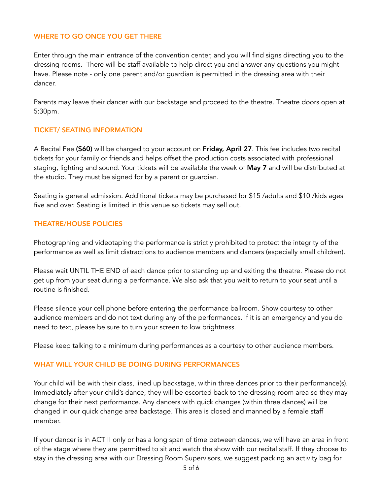#### WHERE TO GO ONCE YOU GET THERE

Enter through the main entrance of the convention center, and you will find signs directing you to the dressing rooms. There will be staff available to help direct you and answer any questions you might have. Please note - only one parent and/or guardian is permitted in the dressing area with their dancer.

Parents may leave their dancer with our backstage and proceed to the theatre. Theatre doors open at 5:30pm.

#### TICKET/ SEATING INFORMATION

A Recital Fee (\$60) will be charged to your account on Friday, April 27. This fee includes two recital tickets for your family or friends and helps offset the production costs associated with professional staging, lighting and sound. Your tickets will be available the week of May 7 and will be distributed at the studio. They must be signed for by a parent or guardian.

Seating is general admission. Additional tickets may be purchased for \$15 /adults and \$10 /kids ages five and over. Seating is limited in this venue so tickets may sell out.

#### THEATRE/HOUSE POLICIES

Photographing and videotaping the performance is strictly prohibited to protect the integrity of the performance as well as limit distractions to audience members and dancers (especially small children).

Please wait UNTIL THE END of each dance prior to standing up and exiting the theatre. Please do not get up from your seat during a performance. We also ask that you wait to return to your seat until a routine is finished.

Please silence your cell phone before entering the performance ballroom. Show courtesy to other audience members and do not text during any of the performances. If it is an emergency and you do need to text, please be sure to turn your screen to low brightness.

Please keep talking to a minimum during performances as a courtesy to other audience members.

#### WHAT WILL YOUR CHILD BE DOING DURING PERFORMANCES

Your child will be with their class, lined up backstage, within three dances prior to their performance(s). Immediately after your child's dance, they will be escorted back to the dressing room area so they may change for their next performance. Any dancers with quick changes (within three dances) will be changed in our quick change area backstage. This area is closed and manned by a female staff member.

If your dancer is in ACT II only or has a long span of time between dances, we will have an area in front of the stage where they are permitted to sit and watch the show with our recital staff. If they choose to stay in the dressing area with our Dressing Room Supervisors, we suggest packing an activity bag for